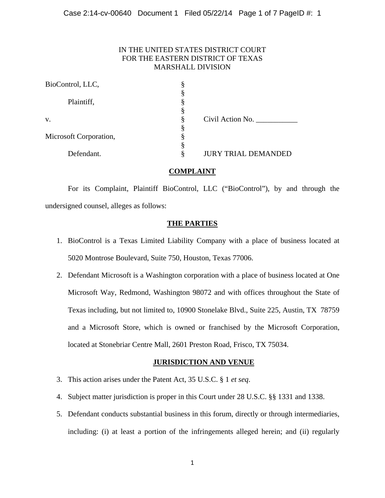# IN THE UNITED STATES DISTRICT COURT FOR THE EASTERN DISTRICT OF TEXAS MARSHALL DIVISION

| Ò<br>5 |                            |
|--------|----------------------------|
| ş      |                            |
| 8      |                            |
| 8      |                            |
| §      | Civil Action No.           |
|        |                            |
|        |                            |
| §      |                            |
| §      | <b>JURY TRIAL DEMANDED</b> |
|        |                            |

# **COMPLAINT**

 For its Complaint, Plaintiff BioControl, LLC ("BioControl"), by and through the undersigned counsel, alleges as follows:

## **THE PARTIES**

- 1. BioControl is a Texas Limited Liability Company with a place of business located at 5020 Montrose Boulevard, Suite 750, Houston, Texas 77006.
- 2. Defendant Microsoft is a Washington corporation with a place of business located at One Microsoft Way, Redmond, Washington 98072 and with offices throughout the State of Texas including, but not limited to, 10900 Stonelake Blvd., Suite 225, Austin, TX 78759 and a Microsoft Store, which is owned or franchised by the Microsoft Corporation, located at Stonebriar Centre Mall, 2601 Preston Road, Frisco, TX 75034.

## **JURISDICTION AND VENUE**

- 3. This action arises under the Patent Act, 35 U.S.C. § 1 *et seq*.
- 4. Subject matter jurisdiction is proper in this Court under 28 U.S.C. §§ 1331 and 1338.
- 5. Defendant conducts substantial business in this forum, directly or through intermediaries, including: (i) at least a portion of the infringements alleged herein; and (ii) regularly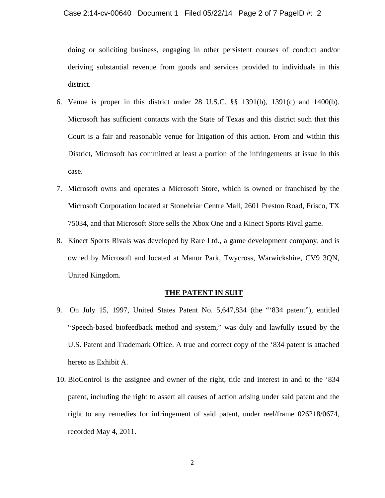#### Case 2:14-cv-00640 Document 1 Filed 05/22/14 Page 2 of 7 PageID #: 2

doing or soliciting business, engaging in other persistent courses of conduct and/or deriving substantial revenue from goods and services provided to individuals in this district.

- 6. Venue is proper in this district under 28 U.S.C. §§ 1391(b), 1391(c) and 1400(b). Microsoft has sufficient contacts with the State of Texas and this district such that this Court is a fair and reasonable venue for litigation of this action. From and within this District, Microsoft has committed at least a portion of the infringements at issue in this case.
- 7. Microsoft owns and operates a Microsoft Store, which is owned or franchised by the Microsoft Corporation located at Stonebriar Centre Mall, 2601 Preston Road, Frisco, TX 75034, and that Microsoft Store sells the Xbox One and a Kinect Sports Rival game.
- 8. Kinect Sports Rivals was developed by Rare Ltd., a game development company, and is owned by Microsoft and located at Manor Park, Twycross, Warwickshire, CV9 3QN, United Kingdom.

### **THE PATENT IN SUIT**

- 9. On July 15, 1997, United States Patent No. 5,647,834 (the "'834 patent"), entitled "Speech-based biofeedback method and system," was duly and lawfully issued by the U.S. Patent and Trademark Office. A true and correct copy of the '834 patent is attached hereto as Exhibit A.
- 10. BioControl is the assignee and owner of the right, title and interest in and to the '834 patent, including the right to assert all causes of action arising under said patent and the right to any remedies for infringement of said patent, under reel/frame 026218/0674, recorded May 4, 2011.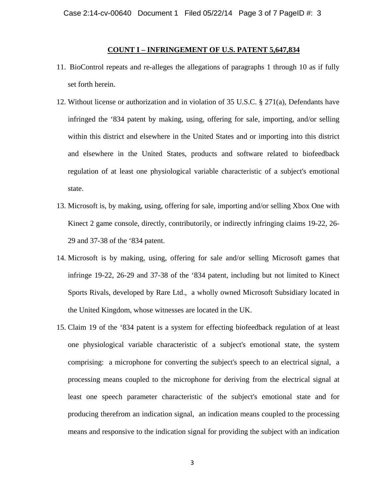### **COUNT I – INFRINGEMENT OF U.S. PATENT 5,647,834**

- 11. BioControl repeats and re-alleges the allegations of paragraphs 1 through 10 as if fully set forth herein.
- 12. Without license or authorization and in violation of 35 U.S.C. § 271(a), Defendants have infringed the '834 patent by making, using, offering for sale, importing, and/or selling within this district and elsewhere in the United States and or importing into this district and elsewhere in the United States, products and software related to biofeedback regulation of at least one physiological variable characteristic of a subject's emotional state.
- 13. Microsoft is, by making, using, offering for sale, importing and/or selling Xbox One with Kinect 2 game console, directly, contributorily, or indirectly infringing claims 19-22, 26- 29 and 37-38 of the '834 patent.
- 14. Microsoft is by making, using, offering for sale and/or selling Microsoft games that infringe 19-22, 26-29 and 37-38 of the '834 patent, including but not limited to Kinect Sports Rivals, developed by Rare Ltd., a wholly owned Microsoft Subsidiary located in the United Kingdom, whose witnesses are located in the UK.
- 15. Claim 19 of the '834 patent is a system for effecting biofeedback regulation of at least one physiological variable characteristic of a subject's emotional state, the system comprising: a microphone for converting the subject's speech to an electrical signal, a processing means coupled to the microphone for deriving from the electrical signal at least one speech parameter characteristic of the subject's emotional state and for producing therefrom an indication signal, an indication means coupled to the processing means and responsive to the indication signal for providing the subject with an indication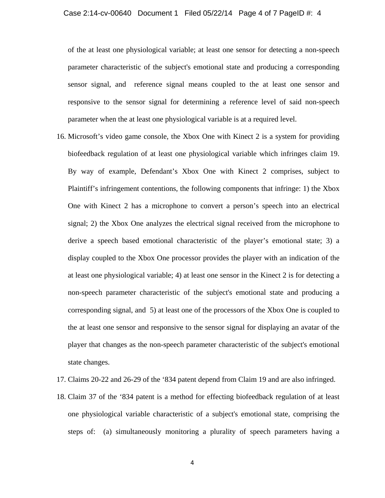of the at least one physiological variable; at least one sensor for detecting a non-speech parameter characteristic of the subject's emotional state and producing a corresponding sensor signal, and reference signal means coupled to the at least one sensor and responsive to the sensor signal for determining a reference level of said non-speech parameter when the at least one physiological variable is at a required level.

- 16. Microsoft's video game console, the Xbox One with Kinect 2 is a system for providing biofeedback regulation of at least one physiological variable which infringes claim 19. By way of example, Defendant's Xbox One with Kinect 2 comprises, subject to Plaintiff's infringement contentions, the following components that infringe: 1) the Xbox One with Kinect 2 has a microphone to convert a person's speech into an electrical signal; 2) the Xbox One analyzes the electrical signal received from the microphone to derive a speech based emotional characteristic of the player's emotional state; 3) a display coupled to the Xbox One processor provides the player with an indication of the at least one physiological variable; 4) at least one sensor in the Kinect 2 is for detecting a non-speech parameter characteristic of the subject's emotional state and producing a corresponding signal, and 5) at least one of the processors of the Xbox One is coupled to the at least one sensor and responsive to the sensor signal for displaying an avatar of the player that changes as the non-speech parameter characteristic of the subject's emotional state changes.
- 17. Claims 20-22 and 26-29 of the '834 patent depend from Claim 19 and are also infringed.
- 18. Claim 37 of the '834 patent is a method for effecting biofeedback regulation of at least one physiological variable characteristic of a subject's emotional state, comprising the steps of: (a) simultaneously monitoring a plurality of speech parameters having a

4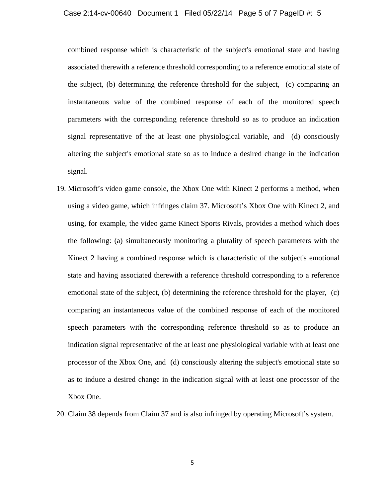### Case 2:14-cv-00640 Document 1 Filed 05/22/14 Page 5 of 7 PageID #: 5

combined response which is characteristic of the subject's emotional state and having associated therewith a reference threshold corresponding to a reference emotional state of the subject, (b) determining the reference threshold for the subject, (c) comparing an instantaneous value of the combined response of each of the monitored speech parameters with the corresponding reference threshold so as to produce an indication signal representative of the at least one physiological variable, and (d) consciously altering the subject's emotional state so as to induce a desired change in the indication signal.

- 19. Microsoft's video game console, the Xbox One with Kinect 2 performs a method, when using a video game, which infringes claim 37. Microsoft's Xbox One with Kinect 2, and using, for example, the video game Kinect Sports Rivals, provides a method which does the following: (a) simultaneously monitoring a plurality of speech parameters with the Kinect 2 having a combined response which is characteristic of the subject's emotional state and having associated therewith a reference threshold corresponding to a reference emotional state of the subject, (b) determining the reference threshold for the player, (c) comparing an instantaneous value of the combined response of each of the monitored speech parameters with the corresponding reference threshold so as to produce an indication signal representative of the at least one physiological variable with at least one processor of the Xbox One, and (d) consciously altering the subject's emotional state so as to induce a desired change in the indication signal with at least one processor of the Xbox One.
- 20. Claim 38 depends from Claim 37 and is also infringed by operating Microsoft's system.

5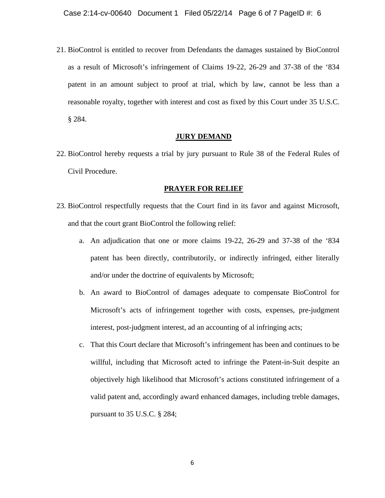21. BioControl is entitled to recover from Defendants the damages sustained by BioControl as a result of Microsoft's infringement of Claims 19-22, 26-29 and 37-38 of the '834 patent in an amount subject to proof at trial, which by law, cannot be less than a reasonable royalty, together with interest and cost as fixed by this Court under 35 U.S.C. § 284.

### **JURY DEMAND**

22. BioControl hereby requests a trial by jury pursuant to Rule 38 of the Federal Rules of Civil Procedure.

#### **PRAYER FOR RELIEF**

- 23. BioControl respectfully requests that the Court find in its favor and against Microsoft, and that the court grant BioControl the following relief:
	- a. An adjudication that one or more claims 19-22, 26-29 and 37-38 of the '834 patent has been directly, contributorily, or indirectly infringed, either literally and/or under the doctrine of equivalents by Microsoft;
	- b. An award to BioControl of damages adequate to compensate BioControl for Microsoft's acts of infringement together with costs, expenses, pre-judgment interest, post-judgment interest, ad an accounting of al infringing acts;
	- c. That this Court declare that Microsoft's infringement has been and continues to be willful, including that Microsoft acted to infringe the Patent-in-Suit despite an objectively high likelihood that Microsoft's actions constituted infringement of a valid patent and, accordingly award enhanced damages, including treble damages, pursuant to 35 U.S.C. § 284;